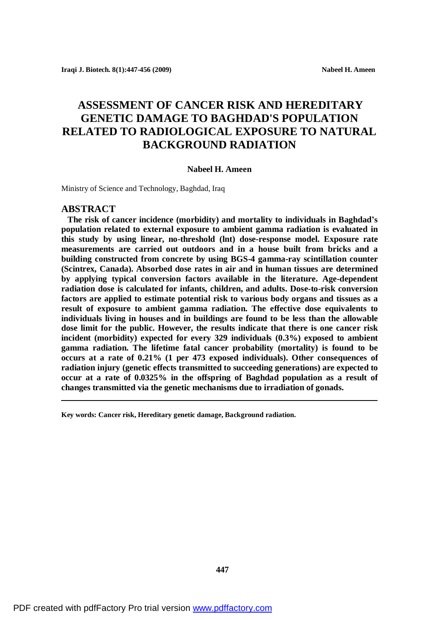## **ASSESSMENT OF CANCER RISK AND HEREDITARY GENETIC DAMAGE TO BAGHDAD'S POPULATION RELATED TO RADIOLOGICAL EXPOSURE TO NATURAL BACKGROUND RADIATION**

#### **Nabeel H. Ameen**

Ministry of Science and Technology, Baghdad, Iraq

#### **ABSTRACT**

 **The risk of cancer incidence (morbidity) and mortality to individuals in Baghdad's population related to external exposure to ambient gamma radiation is evaluated in this study by using linear, no-threshold (lnt) dose-response model. Exposure rate measurements are carried out outdoors and in a house built from bricks and a building constructed from concrete by using BGS-4 gamma-ray scintillation counter (Scintrex, Canada). Absorbed dose rates in air and in human tissues are determined by applying typical conversion factors available in the literature. Age-dependent radiation dose is calculated for infants, children, and adults. Dose-to-risk conversion factors are applied to estimate potential risk to various body organs and tissues as a result of exposure to ambient gamma radiation. The effective dose equivalents to individuals living in houses and in buildings are found to be less than the allowable dose limit for the public. However, the results indicate that there is one cancer risk incident (morbidity) expected for every 329 individuals (0.3%) exposed to ambient gamma radiation. The lifetime fatal cancer probability (mortality) is found to be occurs at a rate of 0.21% (1 per 473 exposed individuals). Other consequences of radiation injury (genetic effects transmitted to succeeding generations) are expected to occur at a rate of 0.0325% in the offspring of Baghdad population as a result of changes transmitted via the genetic mechanisms due to irradiation of gonads.** 

**Key words: Cancer risk, Hereditary genetic damage, Background radiation.**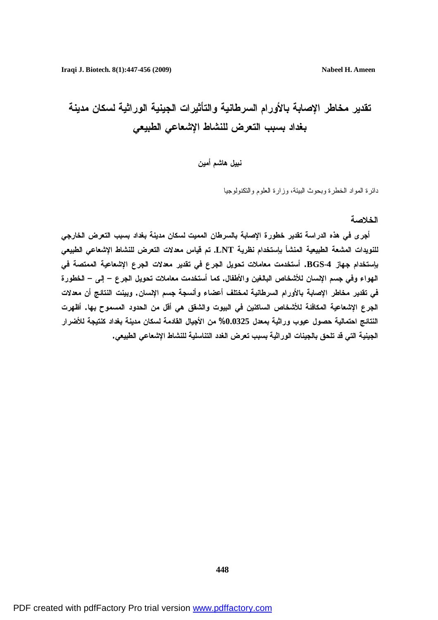# **تقدير مخاطر الإصابة بالأورام السرطانية والتأثيرات الجينية الوراثية لسكان مدينة بغداد بسبب التعرض للنشاط الإشعاعي الطبيعي**

**نبيل هاشم أمين** 

دائرة المواد الخطرة وبحوث البيئة، وزارة العلوم والتكنولوجيا

#### **الخلاصة**

 **أجرى في هذه الدراسة تقدير خطورة الإصابة بالسرطان المميت لسكان مدينة بغداد بسبب التعرض الخارجي للنويدات المشعة الطبيعية المنشأ بإستخدام نظرية LNT. تم قياس معدلات التعرض للنشاط الإشعاعي الطبيعي بإستخدام جهاز -4BGS. أستخدمت معاملات تحويل الجرع في تقدير معدلات الجرع الإشعاعية الممتصة في الهواء وفي جسم الإنسان للأشخاص البالغين والأطفال. كما أستخدمت معاملات تحويل الجرع – إلى – الخطورة في تقدير مخاطر الإصابة بالأورام السرطانية لمختلف أعضاء وأنسجة جسم الإنسان. وبينت النتائج أن معدلات الجرع الإشعاعية المكافئة للأشخاص الساكنين في البيوت والشقق هي أقل من الحدود المسموح بها. أظهرت النتائج احتمالية حصول عيوب وراثية بمعدل %0.0325 من الأجيال القادمة لسكان مدينة بغداد كنتيجة للأضرار الجينية التي قد تلحق بالجينات الوراثية بسبب تعرض الغدد التناسلية للنشاط الإشعاعي الطبيعي.**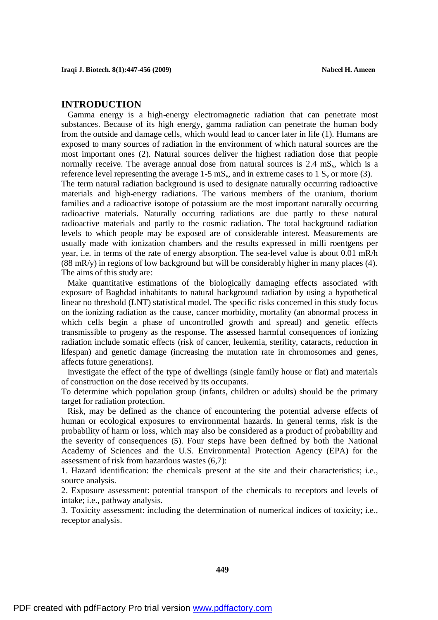#### **INTRODUCTION**

Gamma energy is a high-energy electromagnetic radiation that can penetrate most substances. Because of its high energy, gamma radiation can penetrate the human body from the outside and damage cells, which would lead to cancer later in life (1). Humans are exposed to many sources of radiation in the environment of which natural sources are the most important ones (2). Natural sources deliver the highest radiation dose that people normally receive. The average annual dose from natural sources is  $2.4 \text{ mS}_v$ , which is a reference level representing the average 1-5 mS<sub>v</sub>, and in extreme cases to 1  $S_v$  or more (3). The term natural radiation background is used to designate naturally occurring radioactive materials and high-energy radiations. The various members of the uranium, thorium families and a radioactive isotope of potassium are the most important naturally occurring radioactive materials. Naturally occurring radiations are due partly to these natural radioactive materials and partly to the cosmic radiation. The total background radiation levels to which people may be exposed are of considerable interest. Measurements are usually made with ionization chambers and the results expressed in milli roentgens per year, i.e. in terms of the rate of energy absorption. The sea-level value is about 0.01 mR/h (88 mR/y) in regions of low background but will be considerably higher in many places (4). The aims of this study are:

 Make quantitative estimations of the biologically damaging effects associated with exposure of Baghdad inhabitants to natural background radiation by using a hypothetical linear no threshold (LNT) statistical model. The specific risks concerned in this study focus on the ionizing radiation as the cause, cancer morbidity, mortality (an abnormal process in which cells begin a phase of uncontrolled growth and spread) and genetic effects transmissible to progeny as the response. The assessed harmful consequences of ionizing radiation include somatic effects (risk of cancer, leukemia, sterility, cataracts, reduction in lifespan) and genetic damage (increasing the mutation rate in chromosomes and genes, affects future generations).

 Investigate the effect of the type of dwellings (single family house or flat) and materials of construction on the dose received by its occupants.

To determine which population group (infants, children or adults) should be the primary target for radiation protection.

 Risk, may be defined as the chance of encountering the potential adverse effects of human or ecological exposures to environmental hazards. In general terms, risk is the probability of harm or loss, which may also be considered as a product of probability and the severity of consequences (5). Four steps have been defined by both the National Academy of Sciences and the U.S. Environmental Protection Agency (EPA) for the assessment of risk from hazardous wastes (6,7):

1. Hazard identification: the chemicals present at the site and their characteristics; i.e., source analysis.

2. Exposure assessment: potential transport of the chemicals to receptors and levels of intake; i.e., pathway analysis.

3. Toxicity assessment: including the determination of numerical indices of toxicity; i.e., receptor analysis.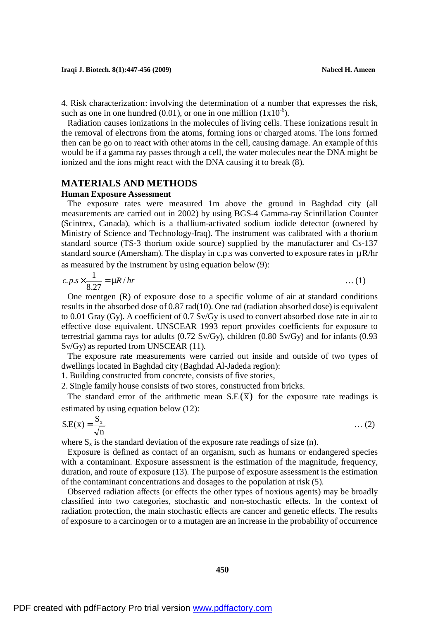4. Risk characterization: involving the determination of a number that expresses the risk, such as one in one hundred (0.01), or one in one million  $(1x10<sup>-6</sup>)$ .

 Radiation causes ionizations in the molecules of living cells. These ionizations result in the removal of electrons from the atoms, forming ions or charged atoms. The ions formed then can be go on to react with other atoms in the cell, causing damage. An example of this would be if a gamma ray passes through a cell, the water molecules near the DNA might be ionized and the ions might react with the DNA causing it to break (8).

#### **MATERIALS AND METHODS**

#### **Human Exposure Assessment**

 The exposure rates were measured 1m above the ground in Baghdad city (all measurements are carried out in 2002) by using BGS-4 Gamma-ray Scintillation Counter (Scintrex, Canada), which is a thallium-activated sodium iodide detector (ownered by Ministry of Science and Technology-Iraq). The instrument was calibrated with a thorium standard source (TS-3 thorium oxide source) supplied by the manufacturer and Cs-137 standard source (Amersham). The display in c.p.s was converted to exposure rates in μR/hr as measured by the instrument by using equation below (9):

$$
c.p.s \times \frac{1}{8.27} = \frac{mR}{hr} \tag{1}
$$

 One roentgen (R) of exposure dose to a specific volume of air at standard conditions results in the absorbed dose of 0.87 rad(10). One rad (radiation absorbed dose) is equivalent to 0.01 Gray (Gy). A coefficient of 0.7 Sv/Gy is used to convert absorbed dose rate in air to effective dose equivalent. UNSCEAR 1993 report provides coefficients for exposure to terrestrial gamma rays for adults (0.72 Sv/Gy), children (0.80 Sv/Gy) and for infants (0.93 Sv/Gy) as reported from UNSCEAR (11).

 The exposure rate measurements were carried out inside and outside of two types of dwellings located in Baghdad city (Baghdad Al-Jadeda region):

1. Building constructed from concrete, consists of five stories,

2. Single family house consists of two stores, constructed from bricks.

The standard error of the arithmetic mean  $S.E(\overline{x})$  for the exposure rate readings is estimated by using equation below (12):

$$
S.E(\overline{x}) = \frac{S_x}{\sqrt{n}} \tag{2}
$$

where  $S_x$  is the standard deviation of the exposure rate readings of size (n).

 Exposure is defined as contact of an organism, such as humans or endangered species with a contaminant. Exposure assessment is the estimation of the magnitude, frequency, duration, and route of exposure (13). The purpose of exposure assessment is the estimation of the contaminant concentrations and dosages to the population at risk (5).

 Observed radiation affects (or effects the other types of noxious agents) may be broadly classified into two categories, stochastic and non-stochastic effects. In the context of radiation protection, the main stochastic effects are cancer and genetic effects. The results of exposure to a carcinogen or to a mutagen are an increase in the probability of occurrence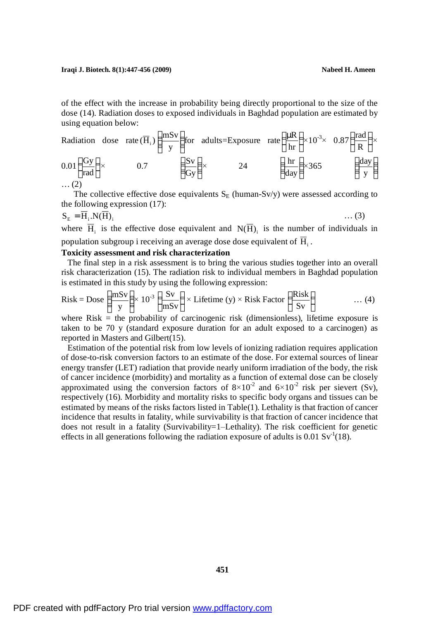#### **Iraqi J.** Biotech. 8(1):447-456 (2009) Nabeel **H. Ameen**

of the effect with the increase in probability being directly proportional to the size of the dose (14). Radiation doses to exposed individuals in Baghdad population are estimated by using equation below:

Radioation dose rate 
$$
(\overline{H}_i)
$$
 for adults=Exposure rate  $\left(\frac{\mu R}{hr}\right) \times 10^{-3} \times 0.87 \left(\frac{rad}{R}\right) \times 0.01 \left(\frac{Gy}{rad}\right) \times 0.7$ 

\n0.01  $\left(\frac{Gy}{rad}\right) \times 0.7$ 

\n0.7  $\left(\frac{Sv}{Gy}\right) \times 24$ 

\n0.4  $\left(\frac{hr}{day}\right) \times 365$ 

\n0.5  $\left(\frac{day}{y}\right) \times 365$ 

The collective effective dose equivalents  $S_E$  (human-Sv/y) were assessed according to the following expression (17):

$$
S_{E} = \overline{H}_{i}.N(\overline{H})_{i} \tag{3}
$$

where  $\overline{H}_i$  is the effective dose equivalent and  $N(\overline{H})_i$  is the number of individuals in population subgroup i receiving an average dose dose equivalent of  $\overline{H}_{i}$ .

#### **Toxicity assessment and risk characterization**

 The final step in a risk assessment is to bring the various studies together into an overall risk characterization (15). The radiation risk to individual members in Baghdad population is estimated in this study by using the following expression:

Risk = Does 
$$
\left(\frac{mSv}{y}\right) \times 10^{-3} \left(\frac{Sv}{mSv}\right) \times \text{Lifetime (y)} \times \text{Risk Factor} \left(\frac{Risk}{Sv}\right) \dots (4)
$$

where Risk  $=$  the probability of carcinogenic risk (dimensionless), lifetime exposure is taken to be 70 y (standard exposure duration for an adult exposed to a carcinogen) as reported in Masters and Gilbert(15).

 Estimation of the potential risk from low levels of ionizing radiation requires application of dose-to-risk conversion factors to an estimate of the dose. For external sources of linear energy transfer (LET) radiation that provide nearly uniform irradiation of the body, the risk of cancer incidence (morbidity) and mortality as a function of external dose can be closely approximated using the conversion factors of  $8 \times 10^{-2}$  and  $6 \times 10^{-2}$  risk per sievert (Sv), respectively (16). Morbidity and mortality risks to specific body organs and tissues can be estimated by means of the risks factors listed in Table(1). Lethality is that fraction of cancer incidence that results in fatality, while survivability is that fraction of cancer incidence that does not result in a fatality (Survivability=1–Lethality). The risk coefficient for genetic effects in all generations following the radiation exposure of adults is  $0.01 \text{ Sv}^{-1}(18)$ .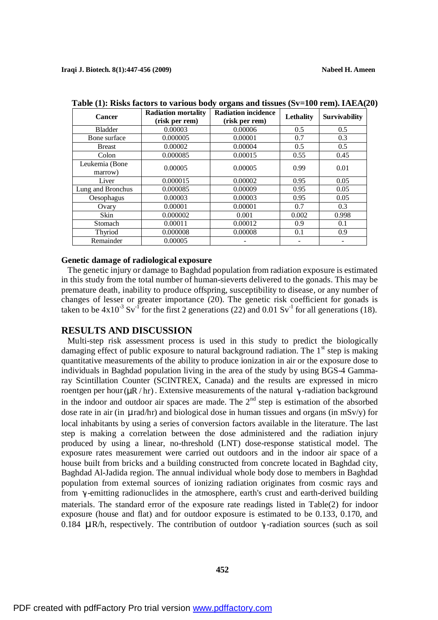| Cancer                    | <b>Radiation mortality</b><br>(risk per rem) | <b>Radiation incidence</b><br>(risk per rem) | Lethality | <b>Survivability</b> |
|---------------------------|----------------------------------------------|----------------------------------------------|-----------|----------------------|
| <b>Bladder</b>            | 0.00003                                      | 0.00006                                      | 0.5       | 0.5                  |
| Bone surface              | 0.000005                                     | 0.00001                                      | 0.7       | 0.3                  |
| <b>Breast</b>             | 0.00002                                      | 0.00004                                      | 0.5       | 0.5                  |
| Colon                     | 0.000085                                     | 0.00015                                      | 0.55      | 0.45                 |
| Leukemia (Bone<br>marrow) | 0.00005                                      | 0.00005                                      | 0.99      | 0.01                 |
| Liver                     | 0.000015                                     | 0.00002                                      | 0.95      | 0.05                 |
| Lung and Bronchus         | 0.000085                                     | 0.00009                                      | 0.95      | 0.05                 |
| Oesophagus                | 0.00003                                      | 0.00003                                      | 0.95      | 0.05                 |
| Ovary                     | 0.00001                                      | 0.00001                                      | 0.7       | 0.3                  |
| Skin                      | 0.000002                                     | 0.001                                        | 0.002     | 0.998                |
| Stomach                   | 0.00011                                      | 0.00012                                      | 0.9       | 0.1                  |
| Thyriod                   | 0.000008                                     | 0.00008                                      | 0.1       | 0.9                  |
| Remainder                 | 0.00005                                      |                                              |           |                      |

**Table (1): Risks factors to various body organs and tissues (Sv=100 rem). IAEA(20)** 

#### **Genetic damage of radiological exposure**

 The genetic injury or damage to Baghdad population from radiation exposure is estimated in this study from the total number of human-sieverts delivered to the gonads. This may be premature death, inability to produce offspring, susceptibility to disease, or any number of changes of lesser or greater importance (20). The genetic risk coefficient for gonads is taken to be  $4x10^{-3}$  Sv<sup>-1</sup> for the first 2 generations (22) and 0.01 Sv<sup>-1</sup> for all generations (18).

### **RESULTS AND DISCUSSION**

 Multi-step risk assessment process is used in this study to predict the biologically damaging effect of public exposure to natural background radiation. The  $1<sup>st</sup>$  step is making quantitative measurements of the ability to produce ionization in air or the exposure dose to individuals in Baghdad population living in the area of the study by using BGS-4 Gammaray Scintillation Counter (SCINTREX, Canada) and the results are expressed in micro roentgen per hour(μR/hr). Extensive measurements of the natural γ-radiation background in the indoor and outdoor air spaces are made. The  $2<sup>nd</sup>$  step is estimation of the absorbed dose rate in air (in μrad/hr) and biological dose in human tissues and organs (in mSv/y) for local inhabitants by using a series of conversion factors available in the literature. The last step is making a correlation between the dose administered and the radiation injury produced by using a linear, no-threshold (LNT) dose-response statistical model. The exposure rates measurement were carried out outdoors and in the indoor air space of a house built from bricks and a building constructed from concrete located in Baghdad city, Baghdad Al-Jadida region. The annual individual whole body dose to members in Baghdad population from external sources of ionizing radiation originates from cosmic rays and from γ -emitting radionuclides in the atmosphere, earth's crust and earth-derived building materials. The standard error of the exposure rate readings listed in Table(2) for indoor exposure (house and flat) and for outdoor exposure is estimated to be 0.133, 0.170, and 0.184 μR/h, respectively. The contribution of outdoor γ -radiation sources (such as soil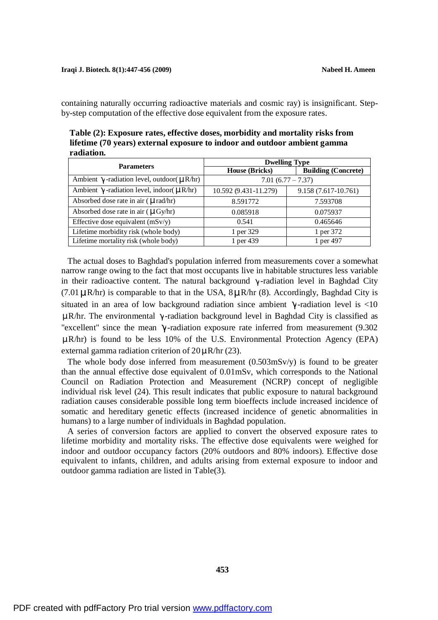containing naturally occurring radioactive materials and cosmic ray) is insignificant. Stepby-step computation of the effective dose equivalent from the exposure rates.

| <b>Parameters</b>                                                              | <b>Dwelling Type</b>  |                            |  |
|--------------------------------------------------------------------------------|-----------------------|----------------------------|--|
|                                                                                | <b>House (Bricks)</b> | <b>Building (Concrete)</b> |  |
| Ambient $\gamma$ -radiation level, outdoor( $\mu$ R/hr)<br>$7.01(6.77 - 7.37)$ |                       |                            |  |
| Ambient $\gamma$ -radiation level, indoor( $\mu$ R/hr)                         | 10.592 (9.431-11.279) | 9.158 (7.617-10.761)       |  |
| Absorbed dose rate in air $(\mu \text{ rad/hr})$                               | 8.591772              | 7.593708                   |  |
| Absorbed dose rate in air $(\mu Gy/hr)$                                        | 0.085918              | 0.075937                   |  |
| Effective dose equivalent $(mSv/y)$                                            | 0.541                 | 0.465646                   |  |
| Lifetime morbidity risk (whole body)                                           | 1 per 329             | 1 per 372                  |  |
| Lifetime mortality risk (whole body)                                           | 1 per 439             | 1 per 497                  |  |

**Table (2): Exposure rates, effective doses, morbidity and mortality risks from lifetime (70 years) external exposure to indoor and outdoor ambient gamma radiation.** 

 The actual doses to Baghdad's population inferred from measurements cover a somewhat narrow range owing to the fact that most occupants live in habitable structures less variable in their radioactive content. The natural background  $\gamma$ -radiation level in Baghdad City  $(7.01 \,\mu\,\text{R/hr})$  is comparable to that in the USA,  $8\,\mu\,\text{R/hr}$  (8). Accordingly, Baghdad City is situated in an area of low background radiation since ambient  $\gamma$ -radiation level is <10 μR/hr. The environmental γ -radiation background level in Baghdad City is classified as "excellent" since the mean γ -radiation exposure rate inferred from measurement (9.302  $\mu$ R/hr) is found to be less 10% of the U.S. Environmental Protection Agency (EPA) external gamma radiation criterion of 20μR/hr (23).

The whole body dose inferred from measurement  $(0.503 \text{mSv/y})$  is found to be greater than the annual effective dose equivalent of 0.01mSv, which corresponds to the National Council on Radiation Protection and Measurement (NCRP) concept of negligible individual risk level (24). This result indicates that public exposure to natural background radiation causes considerable possible long term bioeffects include increased incidence of somatic and hereditary genetic effects (increased incidence of genetic abnormalities in humans) to a large number of individuals in Baghdad population.

 A series of conversion factors are applied to convert the observed exposure rates to lifetime morbidity and mortality risks. The effective dose equivalents were weighed for indoor and outdoor occupancy factors (20% outdoors and 80% indoors). Effective dose equivalent to infants, children, and adults arising from external exposure to indoor and outdoor gamma radiation are listed in Table(3).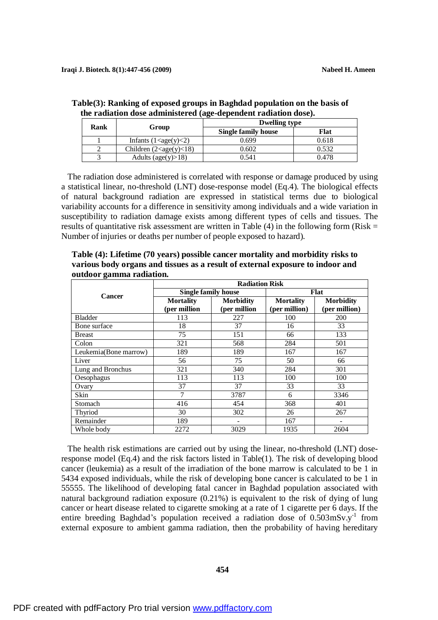| Rank |                                    | ິ<br><b>Dwelling type</b>  |       |  |
|------|------------------------------------|----------------------------|-------|--|
|      | Group                              | <b>Single family house</b> | Flat  |  |
|      | Infants $(1 \leq age(y) \leq 2)$   | 0.699                      | 0.618 |  |
|      | Children $(2 \leq age(y) \leq 18)$ | 0.602                      | 0.532 |  |
|      | Adults (age(y) $>18$ )             | 0.541                      | 0.478 |  |

 **Table(3): Ranking of exposed groups in Baghdad population on the basis of the radiation dose administered (age-dependent radiation dose).** 

 The radiation dose administered is correlated with response or damage produced by using a statistical linear, no-threshold (LNT) dose-response model (Eq.4). The biological effects of natural background radiation are expressed in statistical terms due to biological variability accounts for a difference in sensitivity among individuals and a wide variation in susceptibility to radiation damage exists among different types of cells and tissues. The results of quantitative risk assessment are written in Table  $(4)$  in the following form (Risk = Number of injuries or deaths per number of people exposed to hazard).

|                       | <b>Radiation Risk</b>            |                                  |                                   |                                   |  |
|-----------------------|----------------------------------|----------------------------------|-----------------------------------|-----------------------------------|--|
| <b>Cancer</b>         | <b>Single family house</b>       |                                  | Flat                              |                                   |  |
|                       | <b>Mortality</b><br>(per million | <b>Morbidity</b><br>(per million | <b>Mortality</b><br>(per million) | <b>Morbidity</b><br>(per million) |  |
| <b>Bladder</b>        | 113                              | 227                              | 100                               | 200                               |  |
| Bone surface          | 18                               | 37                               | 16                                | 33                                |  |
| <b>Breast</b>         | 75                               | 151                              | 66                                | 133                               |  |
| Colon                 | 321                              | 568                              | 284                               | 501                               |  |
| Leukemia(Bone marrow) | 189                              | 189                              | 167                               | 167                               |  |
| Liver                 | 56                               | 75                               | 50                                | 66                                |  |
| Lung and Bronchus     | 321                              | 340                              | 284                               | 301                               |  |
| Oesophagus            | 113                              | 113                              | 100                               | 100                               |  |
| Ovary                 | 37                               | 37                               | 33                                | 33                                |  |
| Skin                  | 7                                | 3787                             | 6                                 | 3346                              |  |
| Stomach               | 416                              | 454                              | 368                               | 401                               |  |
| Thyriod               | 30                               | 302                              | 26                                | 267                               |  |
| Remainder             | 189                              |                                  | 167                               |                                   |  |
| Whole body            | 2272                             | 3029                             | 1935                              | 2604                              |  |

**Table (4): Lifetime (70 years) possible cancer mortality and morbidity risks to various body organs and tissues as a result of external exposure to indoor and outdoor gamma radiation.** 

The health risk estimations are carried out by using the linear, no-threshold (LNT) doseresponse model (Eq.4) and the risk factors listed in Table(1). The risk of developing blood cancer (leukemia) as a result of the irradiation of the bone marrow is calculated to be 1 in 5434 exposed individuals, while the risk of developing bone cancer is calculated to be 1 in 55555. The likelihood of developing fatal cancer in Baghdad population associated with natural background radiation exposure (0.21%) is equivalent to the risk of dying of lung cancer or heart disease related to cigarette smoking at a rate of 1 cigarette per 6 days. If the entire breeding Baghdad's population received a radiation dose of  $0.503 \text{mSv.y}^{-1}$  from external exposure to ambient gamma radiation, then the probability of having hereditary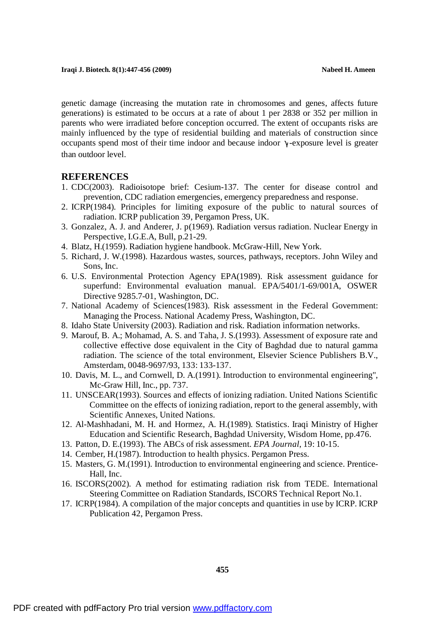genetic damage (increasing the mutation rate in chromosomes and genes, affects future generations) is estimated to be occurs at a rate of about 1 per 2838 or 352 per million in parents who were irradiated before conception occurred. The extent of occupants risks are mainly influenced by the type of residential building and materials of construction since occupants spend most of their time indoor and because indoor γ -exposure level is greater than outdoor level.

#### **REFERENCES**

- 1. CDC(2003). Radioisotope brief: Cesium-137. The center for disease control and prevention, CDC radiation emergencies, emergency preparedness and response.
- 2. ICRP(1984). Principles for limiting exposure of the public to natural sources of radiation. ICRP publication 39, Pergamon Press, UK.
- 3. Gonzalez, A. J. and Anderer, J. p(1969). Radiation versus radiation. Nuclear Energy in Perspective, I.G.E.A, Bull, p.21-29.
- 4. Blatz, H.(1959). Radiation hygiene handbook. McGraw-Hill, New York.
- 5. Richard, J. W.(1998). Hazardous wastes, sources, pathways, receptors. John Wiley and Sons, Inc.
- 6. U.S. Environmental Protection Agency EPA(1989). Risk assessment guidance for superfund: Environmental evaluation manual. EPA/5401/1-69/001A, OSWER Directive 9285.7-01, Washington, DC.
- 7. National Academy of Sciences(1983). Risk assessment in the Federal Government: Managing the Process. National Academy Press, Washington, DC.
- 8. Idaho State University (2003). Radiation and risk. Radiation information networks.
- 9. Marouf, B. A.; Mohamad, A. S. and Taha, J. S.(1993). Assessment of exposure rate and collective effective dose equivalent in the City of Baghdad due to natural gamma radiation. The science of the total environment, Elsevier Science Publishers B.V., Amsterdam, 0048-9697/93, 133: 133-137.
- 10. Davis, M. L., and Cornwell, D. A.(1991). Introduction to environmental engineering", Mc-Graw Hill, Inc., pp. 737.
- 11. UNSCEAR(1993). Sources and effects of ionizing radiation. United Nations Scientific Committee on the effects of ionizing radiation, report to the general assembly, with Scientific Annexes, United Nations.
- 12. Al-Mashhadani, M. H. and Hormez, A. H.(1989). Statistics. Iraqi Ministry of Higher Education and Scientific Research, Baghdad University, Wisdom Home, pp.476.
- 13. Patton, D. E.(1993). The ABCs of risk assessment. *EPAJournal*, 19: 10-15.
- 14. Cember, H.(1987). Introduction to health physics. Pergamon Press.
- 15. Masters, G. M.(1991). Introduction to environmental engineering and science. Prentice-Hall, Inc.
- 16. ISCORS(2002). A method for estimating radiation risk from TEDE. International Steering Committee on Radiation Standards, ISCORS Technical Report No.1.
- 17. ICRP(1984). A compilation of the major concepts and quantities in use by ICRP. ICRP Publication 42, Pergamon Press.